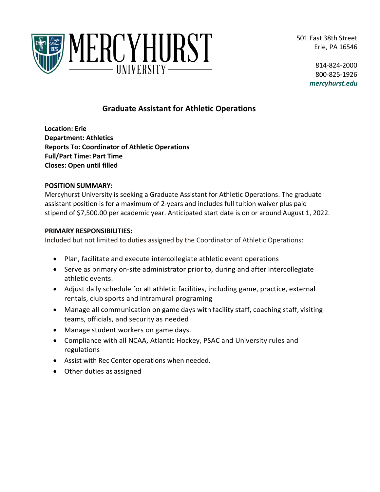501 East 38th Street Erie, PA 16546



814-824-2000 800-825-1926 *mercyhurst.edu*

# **Graduate Assistant for Athletic Operations**

**Location: Erie Department: Athletics Reports To: Coordinator of Athletic Operations Full/Part Time: Part Time Closes: Open until filled**

# **POSITION SUMMARY:**

Mercyhurst University is seeking a Graduate Assistant for Athletic Operations. The graduate assistant position is for a maximum of 2-years and includes full tuition waiver plus paid stipend of \$7,500.00 per academic year. Anticipated start date is on or around August 1, 2022.

# **PRIMARY RESPONSIBILITIES:**

Included but not limited to duties assigned by the Coordinator of Athletic Operations:

- Plan, facilitate and execute intercollegiate athletic event operations
- Serve as primary on-site administrator priorto, during and after intercollegiate athletic events.
- Adjust daily schedule for aII athletic facilities, including game, practice, external rentals, club sports and intramural programing
- Manage all communication on game days with facility staff, coaching staff, visiting teams, officials, and security as needed
- Manage student workers on game days.
- Compliance with all NCAA, Atlantic Hockey, PSAC and University rules and regulations
- Assist with Rec Center operations when needed.
- Other duties as assigned